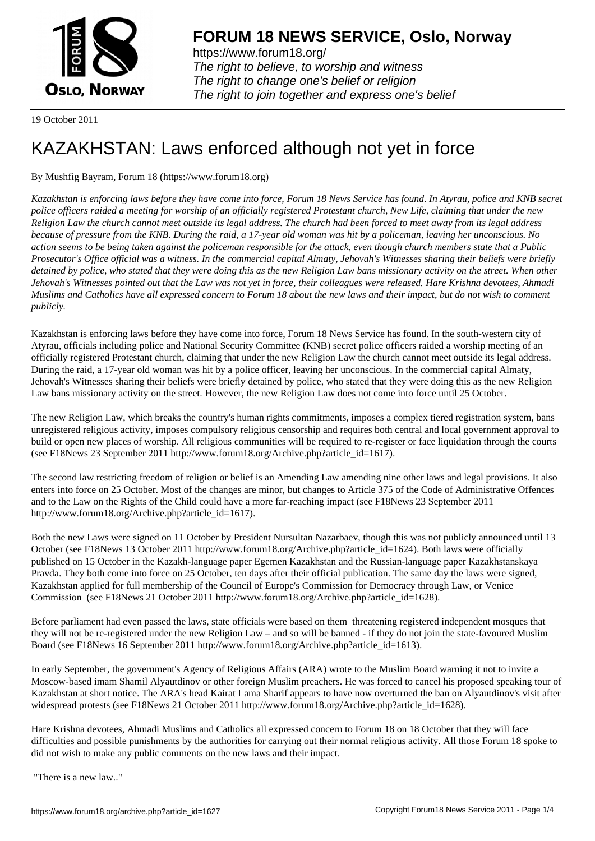

https://www.forum18.org/ The right to believe, to worship and witness The right to change one's belief or religion [The right to join together a](https://www.forum18.org/)nd express one's belief

19 October 2011

# [KAZAKHSTAN:](https://www.forum18.org) Laws enforced although not yet in force

## By Mushfig Bayram, Forum 18 (https://www.forum18.org)

*Kazakhstan is enforcing laws before they have come into force, Forum 18 News Service has found. In Atyrau, police and KNB secret police officers raided a meeting for worship of an officially registered Protestant church, New Life, claiming that under the new Religion Law the church cannot meet outside its legal address. The church had been forced to meet away from its legal address because of pressure from the KNB. During the raid, a 17-year old woman was hit by a policeman, leaving her unconscious. No action seems to be being taken against the policeman responsible for the attack, even though church members state that a Public Prosecutor's Office official was a witness. In the commercial capital Almaty, Jehovah's Witnesses sharing their beliefs were briefly detained by police, who stated that they were doing this as the new Religion Law bans missionary activity on the street. When other Jehovah's Witnesses pointed out that the Law was not yet in force, their colleagues were released. Hare Krishna devotees, Ahmadi Muslims and Catholics have all expressed concern to Forum 18 about the new laws and their impact, but do not wish to comment publicly.*

Kazakhstan is enforcing laws before they have come into force, Forum 18 News Service has found. In the south-western city of Atyrau, officials including police and National Security Committee (KNB) secret police officers raided a worship meeting of an officially registered Protestant church, claiming that under the new Religion Law the church cannot meet outside its legal address. During the raid, a 17-year old woman was hit by a police officer, leaving her unconscious. In the commercial capital Almaty, Jehovah's Witnesses sharing their beliefs were briefly detained by police, who stated that they were doing this as the new Religion Law bans missionary activity on the street. However, the new Religion Law does not come into force until 25 October.

The new Religion Law, which breaks the country's human rights commitments, imposes a complex tiered registration system, bans unregistered religious activity, imposes compulsory religious censorship and requires both central and local government approval to build or open new places of worship. All religious communities will be required to re-register or face liquidation through the courts (see F18News 23 September 2011 http://www.forum18.org/Archive.php?article\_id=1617).

The second law restricting freedom of religion or belief is an Amending Law amending nine other laws and legal provisions. It also enters into force on 25 October. Most of the changes are minor, but changes to Article 375 of the Code of Administrative Offences and to the Law on the Rights of the Child could have a more far-reaching impact (see F18News 23 September 2011 http://www.forum18.org/Archive.php?article\_id=1617).

Both the new Laws were signed on 11 October by President Nursultan Nazarbaev, though this was not publicly announced until 13 October (see F18News 13 October 2011 http://www.forum18.org/Archive.php?article\_id=1624). Both laws were officially published on 15 October in the Kazakh-language paper Egemen Kazakhstan and the Russian-language paper Kazakhstanskaya Pravda. They both come into force on 25 October, ten days after their official publication. The same day the laws were signed, Kazakhstan applied for full membership of the Council of Europe's Commission for Democracy through Law, or Venice Commission (see F18News 21 October 2011 http://www.forum18.org/Archive.php?article\_id=1628).

Before parliament had even passed the laws, state officials were based on them threatening registered independent mosques that they will not be re-registered under the new Religion Law – and so will be banned - if they do not join the state-favoured Muslim Board (see F18News 16 September 2011 http://www.forum18.org/Archive.php?article\_id=1613).

In early September, the government's Agency of Religious Affairs (ARA) wrote to the Muslim Board warning it not to invite a Moscow-based imam Shamil Alyautdinov or other foreign Muslim preachers. He was forced to cancel his proposed speaking tour of Kazakhstan at short notice. The ARA's head Kairat Lama Sharif appears to have now overturned the ban on Alyautdinov's visit after widespread protests (see F18News 21 October 2011 http://www.forum18.org/Archive.php?article\_id=1628).

Hare Krishna devotees, Ahmadi Muslims and Catholics all expressed concern to Forum 18 on 18 October that they will face difficulties and possible punishments by the authorities for carrying out their normal religious activity. All those Forum 18 spoke to did not wish to make any public comments on the new laws and their impact.

"There is a new law.."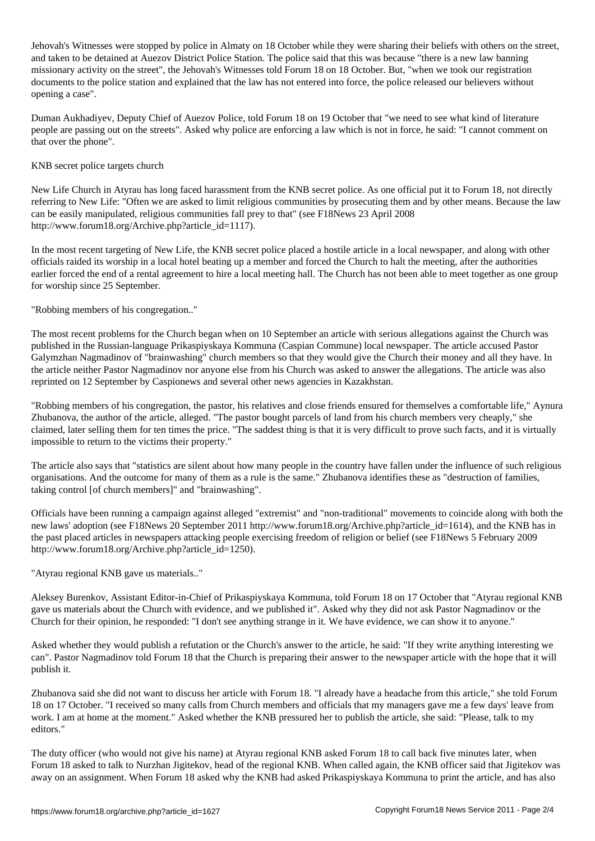Jehovah's Witnesses were stopped by police in Almaty on 18 October while they were sharing their beliefs with others on the street, and taken to be detained at Auezov District Police Station. The police said that this was because "there is a new law banning missionary activity on the street", the Jehovah's Witnesses told Forum 18 on 18 October. But, "when we took our registration documents to the police station and explained that the law has not entered into force, the police released our believers without opening a case".

Duman Aukhadiyev, Deputy Chief of Auezov Police, told Forum 18 on 19 October that "we need to see what kind of literature people are passing out on the streets". Asked why police are enforcing a law which is not in force, he said: "I cannot comment on that over the phone".

KNB secret police targets church

New Life Church in Atyrau has long faced harassment from the KNB secret police. As one official put it to Forum 18, not directly referring to New Life: "Often we are asked to limit religious communities by prosecuting them and by other means. Because the law can be easily manipulated, religious communities fall prey to that" (see F18News 23 April 2008 http://www.forum18.org/Archive.php?article\_id=1117).

In the most recent targeting of New Life, the KNB secret police placed a hostile article in a local newspaper, and along with other officials raided its worship in a local hotel beating up a member and forced the Church to halt the meeting, after the authorities earlier forced the end of a rental agreement to hire a local meeting hall. The Church has not been able to meet together as one group for worship since 25 September.

"Robbing members of his congregation.."

The most recent problems for the Church began when on 10 September an article with serious allegations against the Church was published in the Russian-language Prikaspiyskaya Kommuna (Caspian Commune) local newspaper. The article accused Pastor Galymzhan Nagmadinov of "brainwashing" church members so that they would give the Church their money and all they have. In the article neither Pastor Nagmadinov nor anyone else from his Church was asked to answer the allegations. The article was also reprinted on 12 September by Caspionews and several other news agencies in Kazakhstan.

"Robbing members of his congregation, the pastor, his relatives and close friends ensured for themselves a comfortable life," Aynura Zhubanova, the author of the article, alleged. "The pastor bought parcels of land from his church members very cheaply," she claimed, later selling them for ten times the price. "The saddest thing is that it is very difficult to prove such facts, and it is virtually impossible to return to the victims their property."

The article also says that "statistics are silent about how many people in the country have fallen under the influence of such religious organisations. And the outcome for many of them as a rule is the same." Zhubanova identifies these as "destruction of families, taking control [of church members]" and "brainwashing".

Officials have been running a campaign against alleged "extremist" and "non-traditional" movements to coincide along with both the new laws' adoption (see F18News 20 September 2011 http://www.forum18.org/Archive.php?article\_id=1614), and the KNB has in the past placed articles in newspapers attacking people exercising freedom of religion or belief (see F18News 5 February 2009 http://www.forum18.org/Archive.php?article\_id=1250).

"Atyrau regional KNB gave us materials.."

Aleksey Burenkov, Assistant Editor-in-Chief of Prikaspiyskaya Kommuna, told Forum 18 on 17 October that "Atyrau regional KNB gave us materials about the Church with evidence, and we published it". Asked why they did not ask Pastor Nagmadinov or the Church for their opinion, he responded: "I don't see anything strange in it. We have evidence, we can show it to anyone."

Asked whether they would publish a refutation or the Church's answer to the article, he said: "If they write anything interesting we can". Pastor Nagmadinov told Forum 18 that the Church is preparing their answer to the newspaper article with the hope that it will publish it.

Zhubanova said she did not want to discuss her article with Forum 18. "I already have a headache from this article," she told Forum 18 on 17 October. "I received so many calls from Church members and officials that my managers gave me a few days' leave from work. I am at home at the moment." Asked whether the KNB pressured her to publish the article, she said: "Please, talk to my editors."

The duty officer (who would not give his name) at Atyrau regional KNB asked Forum 18 to call back five minutes later, when Forum 18 asked to talk to Nurzhan Jigitekov, head of the regional KNB. When called again, the KNB officer said that Jigitekov was away on an assignment. When Forum 18 asked why the KNB had asked Prikaspiyskaya Kommuna to print the article, and has also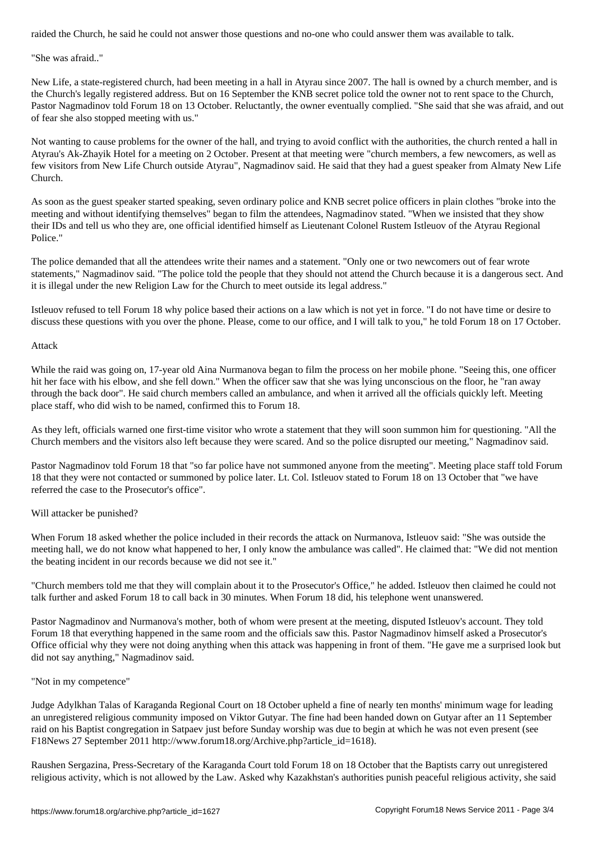"She was afraid.."

New Life, a state-registered church, had been meeting in a hall in Atyrau since 2007. The hall is owned by a church member, and is the Church's legally registered address. But on 16 September the KNB secret police told the owner not to rent space to the Church, Pastor Nagmadinov told Forum 18 on 13 October. Reluctantly, the owner eventually complied. "She said that she was afraid, and out of fear she also stopped meeting with us."

Not wanting to cause problems for the owner of the hall, and trying to avoid conflict with the authorities, the church rented a hall in Atyrau's Ak-Zhayik Hotel for a meeting on 2 October. Present at that meeting were "church members, a few newcomers, as well as few visitors from New Life Church outside Atyrau", Nagmadinov said. He said that they had a guest speaker from Almaty New Life Church.

As soon as the guest speaker started speaking, seven ordinary police and KNB secret police officers in plain clothes "broke into the meeting and without identifying themselves" began to film the attendees, Nagmadinov stated. "When we insisted that they show their IDs and tell us who they are, one official identified himself as Lieutenant Colonel Rustem Istleuov of the Atyrau Regional Police."

The police demanded that all the attendees write their names and a statement. "Only one or two newcomers out of fear wrote statements," Nagmadinov said. "The police told the people that they should not attend the Church because it is a dangerous sect. And it is illegal under the new Religion Law for the Church to meet outside its legal address."

Istleuov refused to tell Forum 18 why police based their actions on a law which is not yet in force. "I do not have time or desire to discuss these questions with you over the phone. Please, come to our office, and I will talk to you," he told Forum 18 on 17 October.

### Attack

While the raid was going on, 17-year old Aina Nurmanova began to film the process on her mobile phone. "Seeing this, one officer hit her face with his elbow, and she fell down." When the officer saw that she was lying unconscious on the floor, he "ran away through the back door". He said church members called an ambulance, and when it arrived all the officials quickly left. Meeting place staff, who did wish to be named, confirmed this to Forum 18.

As they left, officials warned one first-time visitor who wrote a statement that they will soon summon him for questioning. "All the Church members and the visitors also left because they were scared. And so the police disrupted our meeting," Nagmadinov said.

Pastor Nagmadinov told Forum 18 that "so far police have not summoned anyone from the meeting". Meeting place staff told Forum 18 that they were not contacted or summoned by police later. Lt. Col. Istleuov stated to Forum 18 on 13 October that "we have referred the case to the Prosecutor's office".

### Will attacker be punished?

When Forum 18 asked whether the police included in their records the attack on Nurmanova, Istleuov said: "She was outside the meeting hall, we do not know what happened to her, I only know the ambulance was called". He claimed that: "We did not mention the beating incident in our records because we did not see it."

"Church members told me that they will complain about it to the Prosecutor's Office," he added. Istleuov then claimed he could not talk further and asked Forum 18 to call back in 30 minutes. When Forum 18 did, his telephone went unanswered.

Pastor Nagmadinov and Nurmanova's mother, both of whom were present at the meeting, disputed Istleuov's account. They told Forum 18 that everything happened in the same room and the officials saw this. Pastor Nagmadinov himself asked a Prosecutor's Office official why they were not doing anything when this attack was happening in front of them. "He gave me a surprised look but did not say anything," Nagmadinov said.

### "Not in my competence"

Judge Adylkhan Talas of Karaganda Regional Court on 18 October upheld a fine of nearly ten months' minimum wage for leading an unregistered religious community imposed on Viktor Gutyar. The fine had been handed down on Gutyar after an 11 September raid on his Baptist congregation in Satpaev just before Sunday worship was due to begin at which he was not even present (see F18News 27 September 2011 http://www.forum18.org/Archive.php?article\_id=1618).

Raushen Sergazina, Press-Secretary of the Karaganda Court told Forum 18 on 18 October that the Baptists carry out unregistered religious activity, which is not allowed by the Law. Asked why Kazakhstan's authorities punish peaceful religious activity, she said